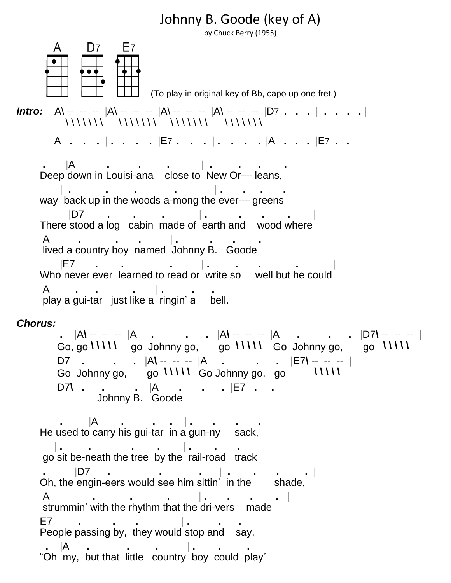## Johnny B. Goode (key of A)

by Chuck Berry (1955)